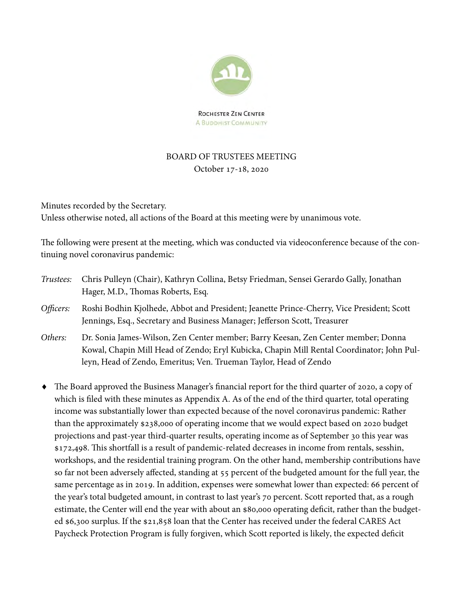

# BOARD OF TRUSTEES MEETING October 17-18, 2020

Minutes recorded by the Secretary. Unless otherwise noted, all actions of the Board at this meeting were by unanimous vote.

The following were present at the meeting, which was conducted via videoconference because of the continuing novel coronavirus pandemic:

- Trustees: Chris Pulleyn (Chair), Kathryn Collina, Betsy Friedman, Sensei Gerardo Gally, Jonathan Hager, M.D., Thomas Roberts, Esq.
- Officers: Roshi Bodhin Kjolhede, Abbot and President; Jeanette Prince-Cherry, Vice President; Scott Jennings, Esq., Secretary and Business Manager; Jefferson Scott, Treasurer
- Others: Dr. Sonia James-Wilson, Zen Center member; Barry Keesan, Zen Center member; Donna Kowal, Chapin Mill Head of Zendo; Eryl Kubicka, Chapin Mill Rental Coordinator; John Pulleyn, Head of Zendo, Emeritus; Ven. Trueman Taylor, Head of Zendo
- The Board approved the Business Manager's financial report for the third quarter of 2020, a copy of which is filed with these minutes as Appendix A. As of the end of the third quarter, total operating income was substantially lower than expected because of the novel coronavirus pandemic: Rather than the approximately \$238,000 of operating income that we would expect based on 2020 budget projections and past-year third-quarter results, operating income as of September 30 this year was \$172,498. This shortfall is a result of pandemic-related decreases in income from rentals, sesshin, workshops, and the residential training program. On the other hand, membership contributions have so far not been adversely affected, standing at 55 percent of the budgeted amount for the full year, the same percentage as in 2019. In addition, expenses were somewhat lower than expected: 66 percent of the year's total budgeted amount, in contrast to last year's 70 percent. Scott reported that, as a rough estimate, the Center will end the year with about an \$80,000 operating deficit, rather than the budgeted \$6,300 surplus. If the \$21,858 loan that the Center has received under the federal CARES Act Paycheck Protection Program is fully forgiven, which Scott reported is likely, the expected deficit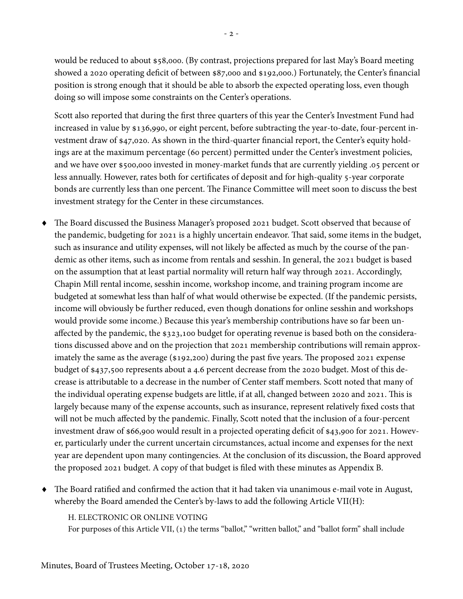would be reduced to about \$58,000. (By contrast, projections prepared for last May's Board meeting showed a 2020 operating deficit of between \$87,000 and \$192,000.) Fortunately, the Center's financial position is strong enough that it should be able to absorb the expected operating loss, even though doing so will impose some constraints on the Center's operations.

Scott also reported that during the first three quarters of this year the Center's Investment Fund had increased in value by \$136,990, or eight percent, before subtracting the year-to-date, four-percent investment draw of \$47,020. As shown in the third-quarter financial report, the Center's equity holdings are at the maximum percentage (60 percent) permitted under the Center's investment policies, and we have over \$500,000 invested in money-market funds that are currently yielding .05 percent or less annually. However, rates both for certificates of deposit and for high-quality 5-year corporate bonds are currently less than one percent. The Finance Committee will meet soon to discuss the best investment strategy for the Center in these circumstances.

- The Board discussed the Business Manager's proposed 2021 budget. Scott observed that because of the pandemic, budgeting for 2021 is a highly uncertain endeavor. That said, some items in the budget, such as insurance and utility expenses, will not likely be affected as much by the course of the pandemic as other items, such as income from rentals and sesshin. In general, the 2021 budget is based on the assumption that at least partial normality will return half way through 2021. Accordingly, Chapin Mill rental income, sesshin income, workshop income, and training program income are budgeted at somewhat less than half of what would otherwise be expected. (If the pandemic persists, income will obviously be further reduced, even though donations for online sesshin and workshops would provide some income.) Because this year's membership contributions have so far been unaffected by the pandemic, the \$323,100 budget for operating revenue is based both on the considerations discussed above and on the projection that 2021 membership contributions will remain approximately the same as the average (\$192,200) during the past five years. The proposed 2021 expense budget of \$437,500 represents about a 4.6 percent decrease from the 2020 budget. Most of this decrease is attributable to a decrease in the number of Center staff members. Scott noted that many of the individual operating expense budgets are little, if at all, changed between 2020 and 2021. This is largely because many of the expense accounts, such as insurance, represent relatively fixed costs that will not be much affected by the pandemic. Finally, Scott noted that the inclusion of a four-percent investment draw of \$66,900 would result in a projected operating deficit 0f \$43,900 for 2021. However, particularly under the current uncertain circumstances, actual income and expenses for the next year are dependent upon many contingencies. At the conclusion of its discussion, the Board approved the proposed 2021 budget. A copy of that budget is filed with these minutes as Appendix B.
- The Board ratified and confirmed the action that it had taken via unanimous e-mail vote in August, whereby the Board amended the Center's by-laws to add the following Article VII(H):

## H. ELECTRONIC OR ONLINE VOTING

For purposes of this Article VII, (1) the terms "ballot," "written ballot," and "ballot form" shall include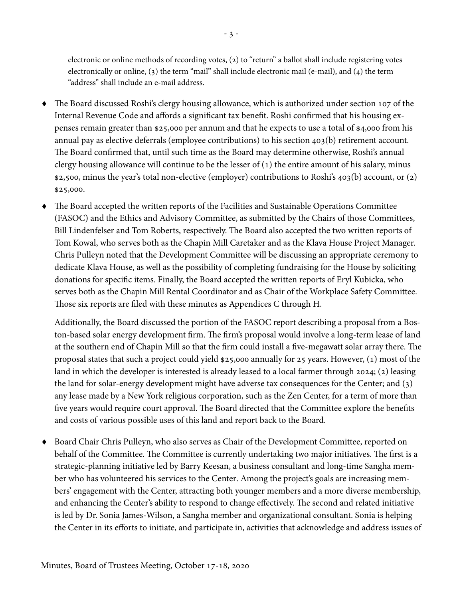electronic or online methods of recording votes, (2) to "return" a ballot shall include registering votes electronically or online, (3) the term "mail" shall include electronic mail (e-mail), and (4) the term "address" shall include an e-mail address.

- The Board discussed Roshi's clergy housing allowance, which is authorized under section 107 of the Internal Revenue Code and affords a significant tax benefit. Roshi confirmed that his housing expenses remain greater than \$25,000 per annum and that he expects to use a total of \$4,000 from his annual pay as elective deferrals (employee contributions) to his section 403(b) retirement account. The Board confirmed that, until such time as the Board may determine otherwise, Roshi's annual clergy housing allowance will continue to be the lesser of  $(1)$  the entire amount of his salary, minus \$2,500, minus the year's total non-elective (employer) contributions to Roshi's 403(b) account, or (2) \$25,000.
- The Board accepted the written reports of the Facilities and Sustainable Operations Committee (FASOC) and the Ethics and Advisory Committee, as submitted by the Chairs of those Committees, Bill Lindenfelser and Tom Roberts, respectively. The Board also accepted the two written reports of Tom Kowal, who serves both as the Chapin Mill Caretaker and as the Klava House Project Manager. Chris Pulleyn noted that the Development Committee will be discussing an appropriate ceremony to dedicate Klava House, as well as the possibility of completing fundraising for the House by soliciting donations for specific items. Finally, the Board accepted the written reports of Eryl Kubicka, who serves both as the Chapin Mill Rental Coordinator and as Chair of the Workplace Safety Committee. Those six reports are filed with these minutes as Appendices C through H.

Additionally, the Board discussed the portion of the FASOC report describing a proposal from a Boston-based solar energy development firm. The firm's proposal would involve a long-term lease of land at the southern end of Chapin Mill so that the firm could install a five-megawatt solar array there. The proposal states that such a project could yield \$25,000 annually for 25 years. However, (1) most of the land in which the developer is interested is already leased to a local farmer through 2024; (2) leasing the land for solar-energy development might have adverse tax consequences for the Center; and (3) any lease made by a New York religious corporation, such as the Zen Center, for a term of more than five years would require court approval. The Board directed that the Committee explore the benefits and costs of various possible uses of this land and report back to the Board.

 Board Chair Chris Pulleyn, who also serves as Chair of the Development Committee, reported on behalf of the Committee. The Committee is currently undertaking two major initiatives. The first is a strategic-planning initiative led by Barry Keesan, a business consultant and long-time Sangha member who has volunteered his services to the Center. Among the project's goals are increasing members' engagement with the Center, attracting both younger members and a more diverse membership, and enhancing the Center's ability to respond to change effectively. The second and related initiative is led by Dr. Sonia James-Wilson, a Sangha member and organizational consultant. Sonia is helping the Center in its efforts to initiate, and participate in, activities that acknowledge and address issues of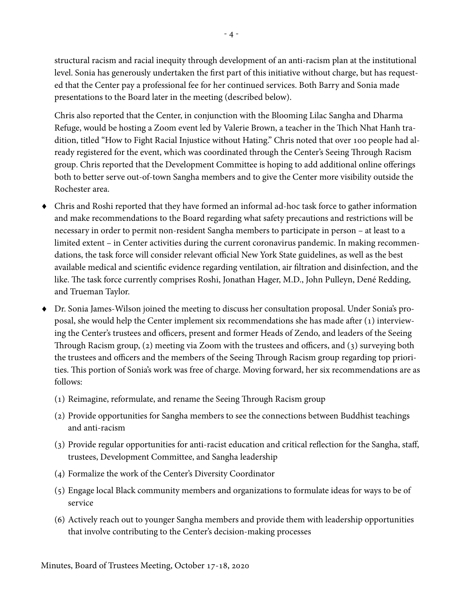structural racism and racial inequity through development of an anti-racism plan at the institutional level. Sonia has generously undertaken the first part of this initiative without charge, but has requested that the Center pay a professional fee for her continued services. Both Barry and Sonia made presentations to the Board later in the meeting (described below).

Chris also reported that the Center, in conjunction with the Blooming Lilac Sangha and Dharma Refuge, would be hosting a Zoom event led by Valerie Brown, a teacher in the Thich Nhat Hanh tradition, titled "How to Fight Racial Injustice without Hating." Chris noted that over 100 people had already registered for the event, which was coordinated through the Center's Seeing Through Racism group. Chris reported that the Development Committee is hoping to add additional online offerings both to better serve out-of-town Sangha members and to give the Center more visibility outside the Rochester area.

- Chris and Roshi reported that they have formed an informal ad-hoc task force to gather information and make recommendations to the Board regarding what safety precautions and restrictions will be necessary in order to permit non-resident Sangha members to participate in person – at least to a limited extent – in Center activities during the current coronavirus pandemic. In making recommendations, the task force will consider relevant official New York State guidelines, as well as the best available medical and scientific evidence regarding ventilation, air filtration and disinfection, and the like. The task force currently comprises Roshi, Jonathan Hager, M.D., John Pulleyn, Dené Redding, and Trueman Taylor.
- Dr. Sonia James-Wilson joined the meeting to discuss her consultation proposal. Under Sonia's proposal, she would help the Center implement six recommendations she has made after (1) interviewing the Center's trustees and officers, present and former Heads of Zendo, and leaders of the Seeing Through Racism group, (2) meeting via Zoom with the trustees and officers, and (3) surveying both the trustees and officers and the members of the Seeing Through Racism group regarding top priorities. This portion of Sonia's work was free of charge. Moving forward, her six recommendations are as follows:
	- (1) Reimagine, reformulate, and rename the Seeing Through Racism group
	- (2) Provide opportunities for Sangha members to see the connections between Buddhist teachings and anti-racism
	- (3) Provide regular opportunities for anti-racist education and critical reflection for the Sangha, staff, trustees, Development Committee, and Sangha leadership
	- (4) Formalize the work of the Center's Diversity Coordinator
	- (5) Engage local Black community members and organizations to formulate ideas for ways to be of service
	- (6) Actively reach out to younger Sangha members and provide them with leadership opportunities that involve contributing to the Center's decision-making processes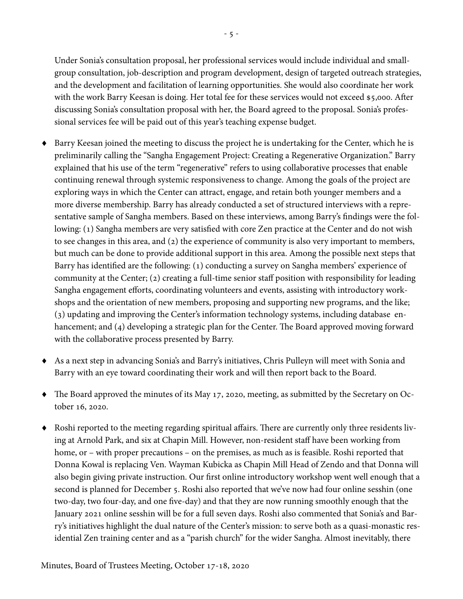Under Sonia's consultation proposal, her professional services would include individual and smallgroup consultation, job-description and program development, design of targeted outreach strategies, and the development and facilitation of learning opportunities. She would also coordinate her work with the work Barry Keesan is doing. Her total fee for these services would not exceed \$5,000. After discussing Sonia's consultation proposal with her, the Board agreed to the proposal. Sonia's professional services fee will be paid out of this year's teaching expense budget.

- Barry Keesan joined the meeting to discuss the project he is undertaking for the Center, which he is preliminarily calling the "Sangha Engagement Project: Creating a Regenerative Organization." Barry explained that his use of the term "regenerative" refers to using collaborative processes that enable continuing renewal through systemic responsiveness to change. Among the goals of the project are exploring ways in which the Center can attract, engage, and retain both younger members and a more diverse membership. Barry has already conducted a set of structured interviews with a representative sample of Sangha members. Based on these interviews, among Barry's findings were the following: (1) Sangha members are very satisfied with core Zen practice at the Center and do not wish to see changes in this area, and (2) the experience of community is also very important to members, but much can be done to provide additional support in this area. Among the possible next steps that Barry has identified are the following: (1) conducting a survey on Sangha members' experience of community at the Center; (2) creating a full-time senior staff position with responsibility for leading Sangha engagement efforts, coordinating volunteers and events, assisting with introductory workshops and the orientation of new members, proposing and supporting new programs, and the like; (3) updating and improving the Center's information technology systems, including database enhancement; and (4) developing a strategic plan for the Center. The Board approved moving forward with the collaborative process presented by Barry.
- As a next step in advancing Sonia's and Barry's initiatives, Chris Pulleyn will meet with Sonia and Barry with an eye toward coordinating their work and will then report back to the Board.
- The Board approved the minutes of its May 17, 2020, meeting, as submitted by the Secretary on October 16, 2020.
- Roshi reported to the meeting regarding spiritual affairs. There are currently only three residents living at Arnold Park, and six at Chapin Mill. However, non-resident staff have been working from home, or – with proper precautions – on the premises, as much as is feasible. Roshi reported that Donna Kowal is replacing Ven. Wayman Kubicka as Chapin Mill Head of Zendo and that Donna will also begin giving private instruction. Our first online introductory workshop went well enough that a second is planned for December 5. Roshi also reported that we've now had four online sesshin (one two-day, two four-day, and one five-day) and that they are now running smoothly enough that the January 2021 online sesshin will be for a full seven days. Roshi also commented that Sonia's and Barry's initiatives highlight the dual nature of the Center's mission: to serve both as a quasi-monastic residential Zen training center and as a "parish church" for the wider Sangha. Almost inevitably, there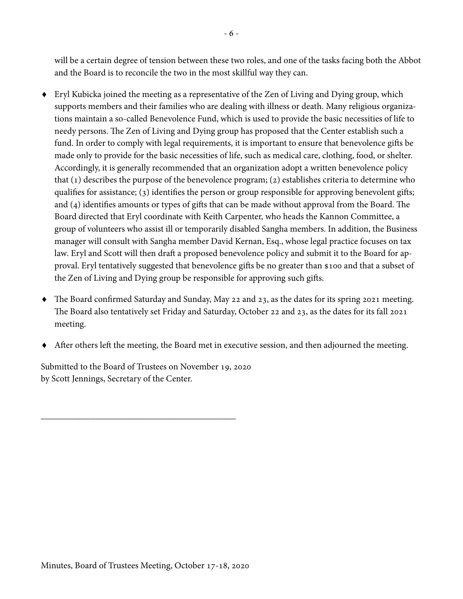will be a certain degree of tension between these two roles, and one of the tasks facing both the Abbot and the Board is to reconcile the two in the most skillful way they can.

- Eryl Kubicka joined the meeting as a representative of the Zen of Living and Dying group, which supports members and their families who are dealing with illness or death. Many religious organizations maintain a so-called Benevolence Fund, which is used to provide the basic necessities of life to needy persons. The Zen of Living and Dying group has proposed that the Center establish such a fund. In order to comply with legal requirements, it is important to ensure that benevolence gifts be made only to provide for the basic necessities of life, such as medical care, clothing, food, or shelter. Accordingly, it is generally recommended that an organization adopt a written benevolence policy that (1) describes the purpose of the benevolence program; (2) establishes criteria to determine who qualifies for assistance; (3) identifies the person or group responsible for approving benevolent gifts; and (4) identifies amounts or types of gifts that can be made without approval from the Board. The Board directed that Eryl coordinate with Keith Carpenter, who heads the Kannon Committee, a group of volunteers who assist ill or temporarily disabled Sangha members. In addition, the Business manager will consult with Sangha member David Kernan, Esq., whose legal practice focuses on tax law. Eryl and Scott will then draft a proposed benevolence policy and submit it to the Board for approval. Eryl tentatively suggested that benevolence gifts be no greater than \$100 and that a subset of the Zen of Living and Dying group be responsible for approving such gifts.
- The Board confirmed Saturday and Sunday, May 22 and 23, as the dates for its spring 2021 meeting. The Board also tentatively set Friday and Saturday, October 22 and 23, as the dates for its fall 2021 meeting.
- After others left the meeting, the Board met in executive session, and then adjourned the meeting.

Submitted to the Board of Trustees on November 19, 2020 by Scott Jennings, Secretary of the Center.

\_\_\_\_\_\_\_\_\_\_\_\_\_\_\_\_\_\_\_\_\_\_\_\_\_\_\_\_\_\_\_\_\_\_\_\_\_\_\_\_\_\_\_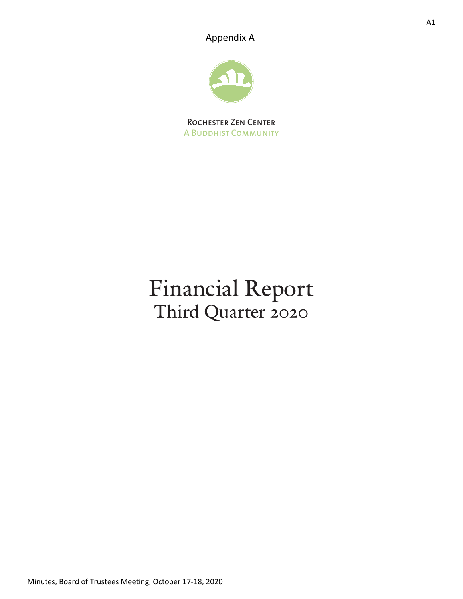Appendix A



Rochester Zen Center A Buddhist Community

# Financial Report Third Quarter 2020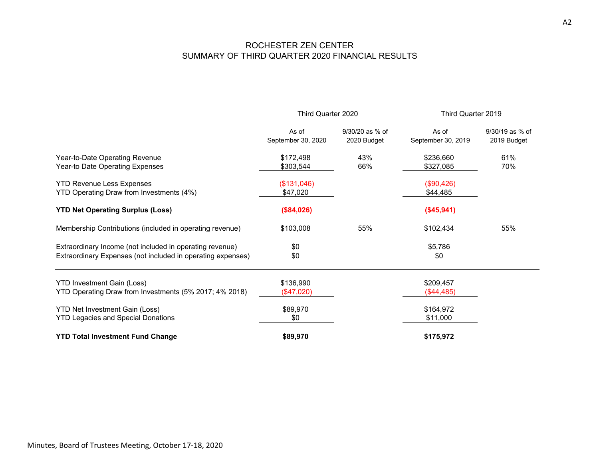### ROCHESTER ZEN CENTER SUMMARY OF THIRD QUARTER 2020 FINANCIAL RESULTS

|                                                                                                                         | Third Quarter 2020          |                                | Third Quarter 2019          |                                |  |
|-------------------------------------------------------------------------------------------------------------------------|-----------------------------|--------------------------------|-----------------------------|--------------------------------|--|
|                                                                                                                         | As of<br>September 30, 2020 | 9/30/20 as % of<br>2020 Budget | As of<br>September 30, 2019 | 9/30/19 as % of<br>2019 Budget |  |
| Year-to-Date Operating Revenue<br>Year-to Date Operating Expenses                                                       | \$172,498<br>\$303,544      | 43%<br>66%                     | \$236,660<br>\$327,085      | 61%<br>70%                     |  |
| <b>YTD Revenue Less Expenses</b><br>YTD Operating Draw from Investments (4%)                                            | (\$131,046)<br>\$47,020     |                                | (\$90,426)<br>\$44,485      |                                |  |
| <b>YTD Net Operating Surplus (Loss)</b>                                                                                 | (\$84,026)                  |                                | (\$45,941)                  |                                |  |
| Membership Contributions (included in operating revenue)                                                                | \$103,008                   | 55%                            | \$102,434                   | 55%                            |  |
| Extraordinary Income (not included in operating revenue)<br>Extraordinary Expenses (not included in operating expenses) | \$0<br>\$0                  |                                | \$5,786<br>\$0              |                                |  |
| <b>YTD Investment Gain (Loss)</b><br>YTD Operating Draw from Investments (5% 2017; 4% 2018)                             | \$136,990<br>(\$47,020)     |                                | \$209,457<br>(\$44,485)     |                                |  |
| <b>YTD Net Investment Gain (Loss)</b><br><b>YTD Legacies and Special Donations</b>                                      | \$89,970<br>\$0             |                                | \$164,972<br>\$11,000       |                                |  |
| <b>YTD Total Investment Fund Change</b>                                                                                 | \$89,970                    |                                | \$175,972                   |                                |  |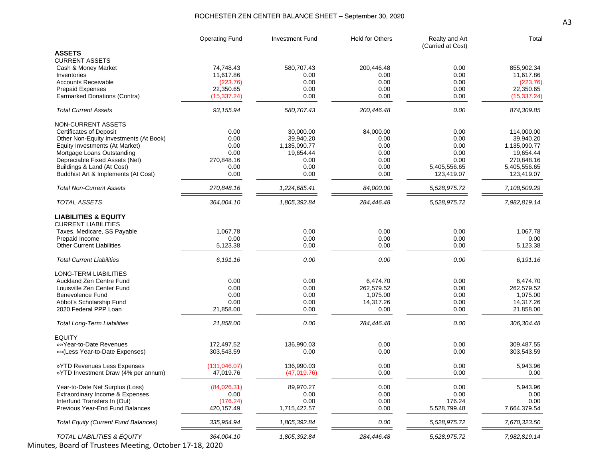#### ROCHESTER ZEN CENTER BALANCE SHEET – September 30, 2020

|                                                       | <b>Operating Fund</b> | <b>Investment Fund</b> | Held for Others | Realty and Art<br>(Carried at Cost) | Total                   |
|-------------------------------------------------------|-----------------------|------------------------|-----------------|-------------------------------------|-------------------------|
| <b>ASSETS</b>                                         |                       |                        |                 |                                     |                         |
| <b>CURRENT ASSETS</b>                                 |                       |                        |                 |                                     |                         |
| Cash & Money Market                                   | 74,748.43             | 580,707.43             | 200,446.48      | 0.00<br>0.00                        | 855,902.34<br>11,617.86 |
| Inventories                                           | 11,617.86             | 0.00<br>0.00           | 0.00            | 0.00                                |                         |
| <b>Accounts Receivable</b><br><b>Prepaid Expenses</b> | (223.76)<br>22,350.65 | 0.00                   | 0.00<br>0.00    | 0.00                                | (223.76)<br>22,350.65   |
| Earmarked Donations (Contra)                          |                       | 0.00                   | 0.00            | 0.00                                | (15, 337.24)            |
|                                                       | (15, 337.24)          |                        |                 |                                     |                         |
| <b>Total Current Assets</b>                           | 93, 155.94            | 580,707.43             | 200,446.48      | 0.00                                | 874,309.85              |
| <b>NON-CURRENT ASSETS</b>                             |                       |                        |                 |                                     |                         |
| <b>Certificates of Deposit</b>                        | 0.00                  | 30,000.00              | 84,000.00       | 0.00                                | 114,000.00              |
| Other Non-Equity Investments (At Book)                | 0.00                  | 39,940.20              | 0.00            | 0.00                                | 39,940.20               |
| Equity Investments (At Market)                        | 0.00                  | 1,135,090.77           | 0.00            | 0.00                                | 1,135,090.77            |
| Mortgage Loans Outstanding                            | 0.00                  | 19,654.44              | 0.00            | 0.00                                | 19,654.44               |
| Depreciable Fixed Assets (Net)                        | 270,848.16            | 0.00                   | 0.00            | 0.00                                | 270,848.16              |
| Buildings & Land (At Cost)                            | 0.00                  | 0.00                   | 0.00            | 5,405,556.65                        | 5,405,556.65            |
| Buddhist Art & Implements (At Cost)                   | 0.00                  | 0.00                   | 0.00            | 123,419.07                          | 123,419.07              |
| <b>Total Non-Current Assets</b>                       | 270,848.16            | 1,224,685.41           | 84,000.00       | 5,528,975.72                        | 7,108,509.29            |
| <b>TOTAL ASSETS</b>                                   | 364,004.10            | 1,805,392.84           | 284,446.48      | 5,528,975.72                        | 7,982,819.14            |
|                                                       |                       |                        |                 |                                     |                         |
| <b>LIABILITIES &amp; EQUITY</b>                       |                       |                        |                 |                                     |                         |
| <b>CURRENT LIABILITIES</b>                            |                       |                        |                 |                                     |                         |
| Taxes, Medicare, SS Payable                           | 1,067.78              | 0.00                   | 0.00            | 0.00                                | 1,067.78                |
| Prepaid Income                                        | 0.00                  | 0.00                   | 0.00            | 0.00                                | 0.00                    |
| <b>Other Current Liabilities</b>                      | 5,123.38              | 0.00                   | 0.00            | 0.00                                | 5,123.38                |
| <b>Total Current Liabilities</b>                      | 6,191.16              | 0.00                   | 0.00            | 0.00                                | 6,191.16                |
| <b>LONG-TERM LIABILITIES</b>                          |                       |                        |                 |                                     |                         |
| Auckland Zen Centre Fund                              | 0.00                  | 0.00                   | 6,474.70        | 0.00                                | 6,474.70                |
| Louisville Zen Center Fund                            | 0.00                  | 0.00                   | 262,579.52      | 0.00                                | 262,579.52              |
| <b>Benevolence Fund</b>                               | 0.00                  | 0.00                   | 1,075.00        | 0.00                                | 1,075.00                |
| Abbot's Scholarship Fund                              | 0.00                  | 0.00                   | 14,317.26       | 0.00                                | 14,317.26               |
| 2020 Federal PPP Loan                                 | 21,858.00             | 0.00                   | 0.00            | 0.00                                | 21,858.00               |
|                                                       |                       |                        |                 |                                     |                         |
| <b>Total Long-Term Liabilities</b>                    | 21,858.00             | 0.00                   | 284,446.48      | 0.00                                | 306,304.48              |
| <b>EQUITY</b>                                         |                       |                        |                 |                                     |                         |
| »»Year-to-Date Revenues                               | 172,497.52            | 136,990.03             | 0.00            | 0.00                                | 309,487.55              |
| » » (Less Year-to-Date Expenses)                      | 303,543.59            | 0.00                   | 0.00            | 0.00                                | 303,543.59              |
| »YTD Revenues Less Expenses                           | (131, 046.07)         | 136,990.03             | 0.00            | 0.00                                | 5,943.96                |
| »YTD Investment Draw (4% per annum)                   | 47,019.76             | (47,019.76)            | 0.00            | 0.00                                | 0.00                    |
|                                                       |                       |                        |                 |                                     |                         |
| Year-to-Date Net Surplus (Loss)                       | (84,026.31)           | 89,970.27              | 0.00            | 0.00                                | 5,943.96                |
| Extraordinary Income & Expenses                       | 0.00                  | 0.00                   | 0.00            | 0.00                                | 0.00                    |
| Interfund Transfers In (Out)                          | (176.24)              | 0.00                   | 0.00            | 176.24                              | 0.00                    |
| Previous Year-End Fund Balances                       | 420,157.49            | 1,715,422.57           | 0.00            | 5,528,799.48                        | 7,664,379.54            |
| <b>Total Equity (Current Fund Balances)</b>           | 335,954.94            | 1,805,392.84           | 0.00            | 5,528,975.72                        | 7,670,323.50            |
| <b>TOTAL LIABILITIES &amp; EQUITY</b>                 | 364,004.10            | 1,805,392.84           | 284,446.48      | 5,528,975.72                        | 7,982,819.14            |
|                                                       |                       |                        |                 |                                     |                         |

Minutes, Board of Trustees Meeting, October 17-18, 2020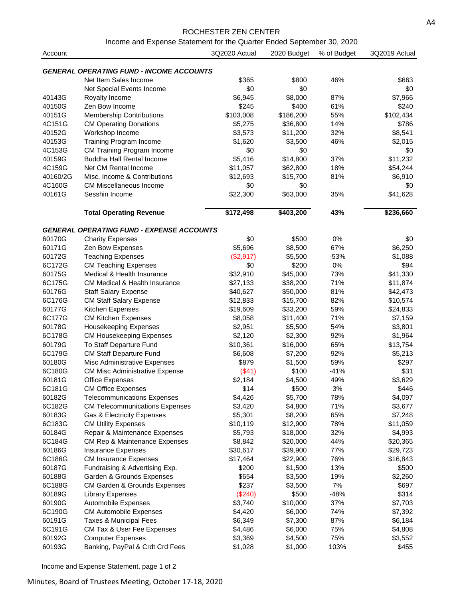#### ROCHESTER ZEN CENTER

Income and Expense Statement for the Quarter Ended September 30, 2020

| Account          |                                                                 | 3Q2020 Actual     | 2020 Budget      | % of Budget | 3Q2019 Actual      |
|------------------|-----------------------------------------------------------------|-------------------|------------------|-------------|--------------------|
|                  | <b>GENERAL OPERATING FUND - INCOME ACCOUNTS</b>                 |                   |                  |             |                    |
|                  |                                                                 |                   |                  |             |                    |
|                  | Net Item Sales Income                                           | \$365<br>\$0      | \$800<br>\$0     | 46%         | \$663              |
| 40143G           | Net Special Events Income<br>Royalty Income                     | \$6,945           | \$8,000          | 87%         | \$0<br>\$7,966     |
| 40150G           | Zen Bow Income                                                  | \$245             | \$400            | 61%         | \$240              |
| 40151G           | <b>Membership Contributions</b>                                 | \$103,008         | \$186,200        | 55%         | \$102,434          |
| 4C151G           |                                                                 | \$5,275           |                  | 14%         |                    |
| 40152G           | <b>CM Operating Donations</b>                                   |                   | \$36,800         | 32%         | \$786              |
|                  | Workshop Income                                                 | \$3,573           | \$11,200         |             | \$8,541<br>\$2,015 |
| 40153G           | <b>Training Program Income</b>                                  | \$1,620           | \$3,500          | 46%         |                    |
| 4C153G           | CM Training Program Income                                      | \$0               | \$0              |             | \$0                |
| 40159G           | <b>Buddha Hall Rental Income</b>                                | \$5,416           | \$14,800         | 37%         | \$11,232           |
| 4C159G           | Net CM Rental Income                                            | \$11,057          | \$62,800         | 18%         | \$54,244           |
| 40160/2G         | Misc. Income & Contributions                                    | \$12,693          | \$15,700         | 81%         | \$6,910            |
| 4C160G           | <b>CM Miscellaneous Income</b>                                  | \$0               | \$0              |             | \$0                |
| 40161G           | Sesshin Income                                                  | \$22,300          | \$63,000         | 35%         | \$41,628           |
|                  | <b>Total Operating Revenue</b>                                  | \$172,498         | \$403,200        | 43%         | \$236,660          |
|                  | <b>GENERAL OPERATING FUND - EXPENSE ACCOUNTS</b>                |                   |                  |             |                    |
| 60170G           | <b>Charity Expenses</b>                                         | \$0               | \$500            | 0%          | \$0                |
| 60171G           | Zen Bow Expenses                                                | \$5,696           | \$8,500          | 67%         | \$6,250            |
| 60172G           | <b>Teaching Expenses</b>                                        | (\$2,917)         | \$5,500          | $-53%$      | \$1,088            |
| 6C172G           | <b>CM Teaching Expenses</b>                                     | \$0               | \$200            | 0%          | \$94               |
| 60175G           | Medical & Health Insurance                                      | \$32,910          | \$45,000         | 73%         | \$41,330           |
| 6C175G           | <b>CM Medical &amp; Health Insurance</b>                        | \$27,133          | \$38,200         | 71%         | \$11,874           |
| 60176G           | <b>Staff Salary Expense</b>                                     | \$40,627          | \$50,000         | 81%         | \$42,473           |
| 6C176G           | <b>CM Staff Salary Expense</b>                                  | \$12,833          | \$15,700         | 82%         | \$10,574           |
| 60177G           | Kitchen Expenses                                                | \$19,609          | \$33,200         | 59%         | \$24,833           |
| 6C177G           | <b>CM Kitchen Expenses</b>                                      | \$8,058           | \$11,400         | 71%         | \$7,159            |
| 60178G           | Housekeeping Expenses                                           | \$2,951           | \$5,500          | 54%         | \$3,801            |
| 6C178G           | <b>CM Housekeeping Expenses</b>                                 | \$2,120           | \$2,300          | 92%         | \$1,964            |
| 60179G           | To Staff Departure Fund                                         | \$10,361          | \$16,000         | 65%         | \$13,754           |
| 6C179G           | <b>CM Staff Departure Fund</b>                                  | \$6,608           | \$7,200          | 92%         | \$5,213            |
|                  |                                                                 |                   |                  | 59%         | \$297              |
| 60180G<br>6C180G | Misc Administrative Expenses                                    | \$879             | \$1,500<br>\$100 | $-41%$      | \$31               |
| 60181G           | <b>CM Misc Administrative Expense</b><br><b>Office Expenses</b> | (\$41)<br>\$2,184 |                  | 49%         | \$3,629            |
|                  |                                                                 |                   | \$4,500          |             |                    |
| 6C181G           | <b>CM Office Expenses</b>                                       | \$14              | \$500            | 3%          | \$446              |
| 60182G           | <b>Telecommunications Expenses</b>                              | \$4,426           | \$5,700          | 78%         | \$4,097            |
| 6C182G           | <b>CM Telecommunications Expenses</b>                           | \$3,420           | \$4,800          | 71%         | \$3,677            |
| 60183G           | Gas & Electricity Expenses                                      | \$5,301           | \$8,200          | 65%         | \$7,248            |
| 6C183G           | <b>CM Utility Expenses</b>                                      | \$10,119          | \$12,900         | 78%         | \$11,059           |
| 60184G           | Repair & Maintenance Expenses                                   | \$5,793           | \$18,000         | 32%         | \$4,993            |
| 6C184G           | <b>CM Rep &amp; Maintenance Expenses</b>                        | \$8,842           | \$20,000         | 44%         | \$20,365           |
| 60186G           | <b>Insurance Expenses</b>                                       | \$30,617          | \$39,900         | 77%         | \$29,723           |
| 6C186G           | <b>CM Insurance Expenses</b>                                    | \$17,464          | \$22,900         | 76%         | \$16,843           |
| 60187G           | Fundraising & Advertising Exp.                                  | \$200             | \$1,500          | 13%         | \$500              |
| 60188G           | Garden & Grounds Expenses                                       | \$654             | \$3,500          | 19%         | \$2,260            |
| 6C188G           | CM Garden & Grounds Expenses                                    | \$237             | \$3,500          | 7%          | \$697              |
| 60189G           | <b>Library Expenses</b>                                         | (\$240)           | \$500            | $-48%$      | \$314              |
| 60190G           | Automobile Expenses                                             | \$3,740           | \$10,000         | 37%         | \$7,703            |
| 6C190G           | <b>CM Automobile Expenses</b>                                   | \$4,420           | \$6,000          | 74%         | \$7,392            |
| 60191G           | Taxes & Municipal Fees                                          | \$6,349           | \$7,300          | 87%         | \$6,184            |
| 6C191G           | CM Tax & User Fee Expenses                                      | \$4,486           | \$6,000          | 75%         | \$4,808            |
| 60192G           | <b>Computer Expenses</b>                                        | \$3,369           | \$4,500          | 75%         | \$3,552            |
| 60193G           | Banking, PayPal & Crdt Crd Fees                                 | \$1,028           | \$1,000          | 103%        | \$455              |

Income and Expense Statement, page 1 of 2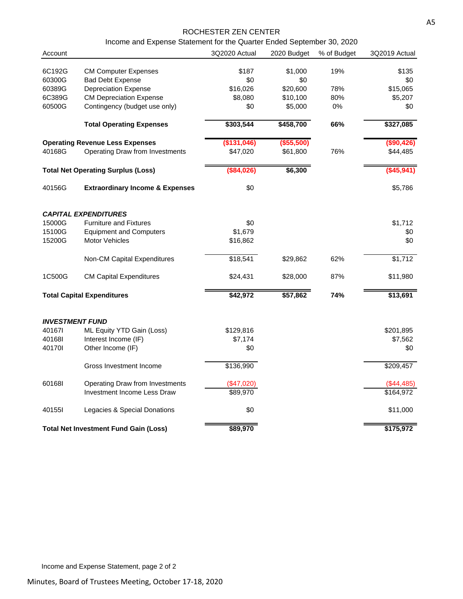#### ROCHESTER ZEN CENTER

Income and Expense Statement for the Quarter Ended September 30, 2020

| Account                |                                              | 3Q2020 Actual | 2020 Budget | % of Budget | 3Q2019 Actual    |
|------------------------|----------------------------------------------|---------------|-------------|-------------|------------------|
| 6C192G                 | <b>CM Computer Expenses</b>                  | \$187         | \$1,000     | 19%         | \$135            |
| 60300G                 | <b>Bad Debt Expense</b>                      | \$0           | \$0         |             | \$0              |
| 60389G                 | <b>Depreciation Expense</b>                  | \$16,026      | \$20,600    | 78%         | \$15,065         |
| 6C389G                 | <b>CM Depreciation Expense</b>               | \$8,080       | \$10,100    | 80%         | \$5,207          |
| 60500G                 | Contingency (budget use only)                | \$0           | \$5,000     | $0\%$       | \$0              |
|                        | <b>Total Operating Expenses</b>              | \$303,544     | \$458,700   | 66%         | \$327,085        |
|                        | <b>Operating Revenue Less Expenses</b>       | (\$131,046)   | ( \$55,500) |             | (\$90,426)       |
| 40168G                 | Operating Draw from Investments              | \$47,020      | \$61,800    | 76%         | \$44,485         |
|                        | <b>Total Net Operating Surplus (Loss)</b>    | (\$84,026)    | \$6,300     |             | $($ \$45,941)    |
| 40156G                 | <b>Extraordinary Income &amp; Expenses</b>   | \$0           |             |             | \$5,786          |
|                        | <i><b>CAPITAL EXPENDITURES</b></i>           |               |             |             |                  |
| 15000G                 | <b>Furniture and Fixtures</b>                | \$0           |             |             | \$1,712          |
| 15100G                 | <b>Equipment and Computers</b>               | \$1,679       |             |             | \$0              |
| 15200G                 | <b>Motor Vehicles</b>                        | \$16,862      |             |             | \$0              |
|                        | Non-CM Capital Expenditures                  | \$18,541      | \$29,862    | 62%         | \$1,712          |
| 1C500G                 | <b>CM Capital Expenditures</b>               | \$24,431      | \$28,000    | 87%         | \$11,980         |
|                        | <b>Total Capital Expenditures</b>            | \$42,972      | \$57,862    | 74%         | \$13,691         |
| <b>INVESTMENT FUND</b> |                                              |               |             |             |                  |
| 401671                 | ML Equity YTD Gain (Loss)                    | \$129,816     |             |             | \$201,895        |
| 401681                 | Interest Income (IF)                         | \$7,174       |             |             | \$7,562          |
| 401701                 | Other Income (IF)                            | \$0           |             |             | \$0              |
|                        | Gross Investment Income                      | \$136,990     |             |             | \$209,457        |
| 601681                 | Operating Draw from Investments              | (\$47,020)    |             |             | $($ \$44,485 $)$ |
|                        | Investment Income Less Draw                  | \$89,970      |             |             | \$164,972        |
| 401551                 | Legacies & Special Donations                 | \$0           |             |             | \$11,000         |
|                        | <b>Total Net Investment Fund Gain (Loss)</b> | \$89,970      |             |             | \$175,972        |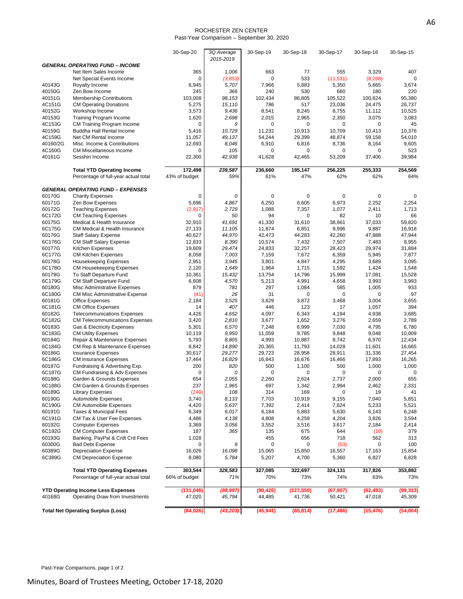#### ROCHESTER ZEN CENTER Past-Year Comparison – September 30, 2020

|                  |                                                                              | 30-Sep-20            | 3Q Average<br>2015-2019 | 30-Sep-19    | 30-Sep-18     | 30-Sep-17            | 30-Sep-16           | 30-Sep-15           |
|------------------|------------------------------------------------------------------------------|----------------------|-------------------------|--------------|---------------|----------------------|---------------------|---------------------|
|                  | <b>GENERAL OPERATING FUND - INCOME</b>                                       |                      |                         |              |               |                      |                     |                     |
|                  | Net Item Sales Income                                                        | 365                  | 1,006                   | 663          | 77            | 555                  | 3,329               | 407                 |
|                  | Net Special Events Income                                                    | $\mathbf 0$          | (3,853)                 | 0            | 533           | (11, 531)            | (8, 268)            | $\Omega$            |
| 40143G           | Royalty Income                                                               | 6,945                | 5,707                   | 7,966        | 5,883         | 5,350                | 5,665               | 3,674               |
| 40150G           | Zen Bow Income                                                               | 245                  | 366                     | 240          | 530           | 660                  | 180                 | 220                 |
| 40151G           | <b>Membership Contributions</b>                                              | 103,008              | 98,153                  | 102,434      | 86,805        | 105,522              | 100,624             | 95,380              |
| 4C151G           | <b>CM Operating Donations</b>                                                | 5,275                | 15,110                  | 786          | 517           | 23,036               | 24,475              | 26,737              |
| 40152G           | Workshop Income                                                              | 3,573                | 9,436                   | 8,541        | 8,245         | 8,755                | 11,112              | 10,525              |
| 40153G<br>4C153G | <b>Training Program Income</b>                                               | 1,620                | 2,698<br>9              | 2,015<br>0   | 2,965         | 2,350<br>$\mathbf 0$ | 3,075<br>0          | 3,083               |
| 40159G           | CM Training Program Income<br>Buddha Hall Rental Income                      | 0<br>5,416           | 10,729                  | 11,232       | 0<br>10,913   | 10,709               | 10,413              | 45<br>10,376        |
| 4C159G           | Net CM Rental Income                                                         | 11,057               | 49,137                  | 54,244       | 29,399        | 48,874               | 59,158              | 54,010              |
| 40160/2G         | Misc. Income & Contributions                                                 | 12,693               | 8,046                   | 6,910        | 6,816         | 8,736                | 8,164               | 9,605               |
| 4C160G           | <b>CM Miscellaneous Income</b>                                               | 0                    | 105                     | 0            | 0             | 0                    | 0                   | 523                 |
| 40161G           | Sesshin Income                                                               | 22,300               | 42,938                  | 41,628       | 42,465        | 53,209               | 37,406              | 39,984              |
|                  | <b>Total YTD Operating Income</b>                                            | 172,498              | 239,587                 | 236,660      | 195,147       | 256,225              | 255,333             | 254,569             |
|                  | Percentage of full-year actual total                                         | 43% of budget        | 59%                     | 61%          | 47%           | 62%                  | 62%                 | 64%                 |
|                  |                                                                              |                      |                         |              |               |                      |                     |                     |
| 60170G           | <b>GENERAL OPERATING FUND - EXPENSES</b><br><b>Charity Expenses</b>          | 0                    | 0                       | 0            | 0             | 0                    | 0                   | 0                   |
| 60171G           | Zen Bow Expenses                                                             | 5,696                | 4,867                   | 6,250        | 6,605         | 6,973                | 2,252               | 2,254               |
| 60172G           | <b>Teaching Expenses</b>                                                     | (2,917)              | 2,729                   | 1,088        | 7,357         | 1,077                | 2,411               | 1,713               |
| 6C172G           | <b>CM Teaching Expenses</b>                                                  | 0                    | 50                      | 94           | 0             | 82                   | 10                  | 66                  |
| 60175G           | Medical & Health Insurance                                                   | 32,910               | 41,691                  | 41,330       | 31,610        | 38,661               | 37,033              | 59,820              |
| 6C175G           | CM Medical & Health Insurance                                                | 27,133               | 11,105                  | 11,874       | 6,851         | 9,996                | 9,887               | 16.918              |
| 60176G           | <b>Staff Salary Expense</b>                                                  | 40,627               | 44,970                  | 42,473       | 44,283        | 42,260               | 47,888              | 47,944              |
| 6C176G           | CM Staff Salary Expense                                                      | 12,833               | 8,390                   | 10,574       | 7,432         | 7,507                | 7,483               | 8,955               |
| 60177G           | <b>Kitchen Expenses</b>                                                      | 19,609               | 29,474                  | 24,833       | 32,257        | 28,423               | 29,974              | 31,884              |
| 6C177G           | <b>CM Kitchen Expenses</b>                                                   | 8,058                | 7,003                   | 7,159        | 7,672         | 6,359                | 5,945               | 7,877               |
| 60178G           | <b>Housekeeping Expenses</b>                                                 | 2,951                | 3,945                   | 3,801        | 4,847         | 4,295                | 3,689               | 3,095               |
| 6C178G           | <b>CM Housekeeping Expenses</b>                                              | 2,120                | 1,649                   | 1,964        | 1,715         | 1,592                | 1,424               | 1,548               |
| 60179G           | To Staff Departure Fund                                                      | 10,361               | 15,432                  | 13,754       | 14,796        | 15,999               | 17,081              | 15,528              |
| 6C179G           | <b>CM Staff Departure Fund</b>                                               | 6,608                | 4,570                   | 5,213        | 4,991         | 4,658                | 3,993               | 3,993               |
| 60180G           | Misc Administrative Expenses                                                 | 879                  | 781                     | 297          | 1,084         | 585                  | 1,005               | 933                 |
| 6C180G<br>60181G | <b>CM Misc Administrative Expense</b>                                        | (41)                 | 26<br>3,525             | 31<br>3,629  | 0<br>3,872    | $\mathbf 0$<br>3,468 | 0<br>3,004          | 97<br>3,655         |
| 6C181G           | <b>Office Expenses</b><br><b>CM Office Expenses</b>                          | 2,184<br>14          | 407                     | 446          | 123           | 17                   | 1,057               | 394                 |
| 60182G           | <b>Telecommunications Expenses</b>                                           | 4,426                | 4,652                   | 4,097        | 6,343         | 4,194                | 4,938               | 3,685               |
| 6C182G           | <b>CM Telecommunications Expenses</b>                                        | 3,420                | 2,810                   | 3,677        | 1,652         | 3,276                | 2,659               | 2,789               |
| 60183G           | Gas & Electricity Expenses                                                   | 5,301                | 6,570                   | 7,248        | 6,999         | 7,030                | 4,795               | 6,780               |
| 6C183G           | <b>CM Utility Expenses</b>                                                   | 10,119               | 9,950                   | 11,059       | 9,785         | 9,848                | 9,048               | 10,009              |
| 60184G           | Repair & Maintenance Expenses                                                | 5,793                | 8,805                   | 4,993        | 10,887        | 8,742                | 6,970               | 12,434              |
| 6C184G           | <b>CM Rep &amp; Maintenance Expenses</b>                                     | 8,842                | 14,890                  | 20,365       | 11,793        | 14,028               | 11,601              | 16,665              |
| 60186G           | <b>Insurance Expenses</b>                                                    | 30,617               | 29,277                  | 29,723       | 28,958        | 28,911               | 31,336              | 27,454              |
| 6C186G           | <b>CM Insurance Expenses</b>                                                 | 17,464               | 16,829                  | 16,843       | 16,676        | 16,466               | 17,893              | 16,265              |
| 60187G           | Fundraising & Advertising Exp.                                               | 200                  | 820                     | 500          | 1,100         | 500                  | 1,000               | 1,000               |
| 6C187G           | CM Fundraising & Adv Expenses                                                | 0                    | 0                       | 0            | 0             | $\mathbf 0$          | 0                   | 0                   |
| 60188G           | Garden & Grounds Expenses                                                    | 654                  | 2,055                   | 2,260        | 2,624         | 2,737                | 2,000               | 655                 |
| 6C188G           | CM Garden & Grounds Expenses                                                 | 237                  | 1,965                   | 697          | 1,342         | 2,994                | 2,462               | 2,331               |
| 60189G<br>60190G | <b>Library Expenses</b><br>Automobile Expenses                               | (240)<br>3,740       | 108<br>8,133            | 314<br>7,703 | 169<br>10,919 | 0<br>9,155           | 19<br>7,040         | 41<br>5,851         |
| 6C190G           | <b>CM Automobile Expenses</b>                                                | 4,420                | 5,637                   | 7,392        | 2,414         | 7,624                | 5,233               | 5,521               |
| 60191G           | <b>Taxes &amp; Municipal Fees</b>                                            | 6,349                | 6,017                   | 6,184        | 5,883         | 5,630                | 6,143               | 6,248               |
| 6C191G           | CM Tax & User Fee Expenses                                                   | 4,486                | 4,138                   | 4,808        | 4,259         | 4,204                | 3,826               | 3,594               |
| 60192G           | <b>Computer Expenses</b>                                                     | 3,369                | 3,056                   | 3,552        | 3,516         | 3,617                | 2,184               | 2,414               |
| 6C192G           | <b>CM Computer Expenses</b>                                                  | 187                  | 365                     | 135          | 675           | 644                  | (10)                | 379                 |
| 60193G           | Banking, PayPal & Crdt Crd Fees                                              | 1,028                |                         | 455          | 656           | 718                  | 562                 | 313                 |
| 60300G           | <b>Bad Debt Expense</b>                                                      | 0                    | 9                       | $\mathbf 0$  | 0             | (53)                 | 0                   | 100                 |
| 60389G           | <b>Depreciation Expense</b>                                                  | 16,026               | 16,098                  | 15,065       | 15,850        | 16,557               | 17,163              | 15,854              |
| 6C389G           | <b>CM Depreciation Expense</b>                                               | 8,080                | 5,784                   | 5,207        | 4,700         | 5,360                | 6,827               | 6,828               |
|                  | <b>Total YTD Operating Expenses</b>                                          | 303,544              | 328,583                 | 327,085      | 322,697       | 324,131              | 317,826             | 353,882             |
|                  | Percentage of full-year actual total                                         | 66% of budget        | 71%                     | 70%          | 73%           | 74%                  | 63%                 | 73%                 |
|                  |                                                                              |                      |                         |              |               |                      |                     |                     |
| 40168G           | <b>YTD Operating Income Less Expenses</b><br>Operating Draw from Investments | (131, 046)<br>47,020 | (88, 997)<br>45,794     | (90, 426)    | (127, 550)    | (67, 907)            | (62, 493)<br>47,018 | (99, 313)<br>45,309 |
|                  |                                                                              |                      |                         | 44,485       | 41,736        | 50,421               |                     |                     |
|                  | <b>Total Net Operating Surplus (Loss)</b>                                    | (84,026)             | (43, 203)               | (45, 941)    | (85, 814)     | (17, 486)            | (15, 476)           | (54,004)            |

Past-Year Comparisons, page 1 of 2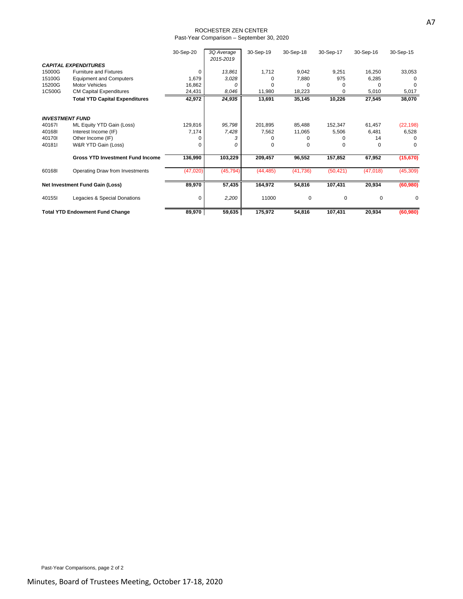#### ROCHESTER ZEN CENTER Past-Year Comparison – September 30, 2020

|        |                                         | 30-Sep-20 | 3Q Average<br>2015-2019 | 30-Sep-19 | 30-Sep-18   | 30-Sep-17 | 30-Sep-16   | 30-Sep-15 |
|--------|-----------------------------------------|-----------|-------------------------|-----------|-------------|-----------|-------------|-----------|
|        | <b>CAPITAL EXPENDITURES</b>             |           |                         |           |             |           |             |           |
| 15000G | <b>Furniture and Fixtures</b>           | O         | 13,861                  | 1,712     | 9,042       | 9,251     | 16,250      | 33,053    |
| 15100G | <b>Equipment and Computers</b>          | 1,679     | 3,028                   |           | 7,880       | 975       | 6,285       |           |
| 15200G | <b>Motor Vehicles</b>                   | 16,862    | $\Omega$                |           |             |           |             |           |
| 1C500G | <b>CM Capital Expenditures</b>          | 24,431    | 8,046                   | 11,980    | 18,223      | 0         | 5,010       | 5,017     |
|        | <b>Total YTD Capital Expenditures</b>   | 42,972    | 24,935                  | 13,691    | 35,145      | 10,226    | 27,545      | 38,070    |
|        | <b>INVESTMENT FUND</b>                  |           |                         |           |             |           |             |           |
| 401671 | ML Equity YTD Gain (Loss)               | 129,816   | 95,798                  | 201,895   | 85,488      | 152,347   | 61,457      | (22, 198) |
| 40168I | Interest Income (IF)                    | 7,174     | 7,428                   | 7,562     | 11,065      | 5,506     | 6,481       | 6,528     |
| 401701 | Other Income (IF)                       |           | з                       |           |             |           | 14          |           |
| 401811 | W&R YTD Gain (Loss)                     | C         | 0                       |           | 0           | 0         | 0           | $\Omega$  |
|        | <b>Gross YTD Investment Fund Income</b> | 136,990   | 103,229                 | 209,457   | 96,552      | 157,852   | 67,952      | (15, 670) |
| 601681 | Operating Draw from Investments         | (47, 020) | (45, 794)               | (44, 485) | (41, 736)   | (50, 421) | (47, 018)   | (45,309)  |
|        | Net Investment Fund Gain (Loss)         | 89,970    | 57,435                  | 164,972   | 54,816      | 107,431   | 20,934      | (60, 980) |
| 40155I | Legacies & Special Donations            | 0         | 2,200                   | 11000     | $\mathbf 0$ | 0         | $\mathbf 0$ | 0         |
|        | <b>Total YTD Endowment Fund Change</b>  | 89,970    | 59,635                  | 175,972   | 54,816      | 107,431   | 20,934      | (60, 980) |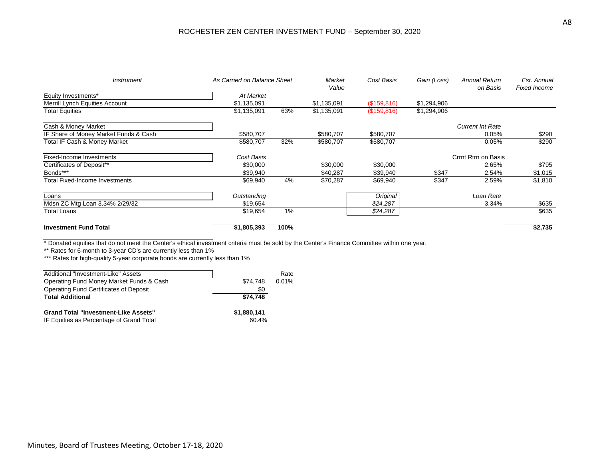#### ROCHESTER ZEN CENTER INVESTMENT FUND – September 30, 2020

| <b>Instrument</b>                     | As Carried on Balance Sheet |      | Market<br>Value | Cost Basis  | Gain (Loss) | <b>Annual Return</b><br>on Basis | Est. Annual<br><b>Fixed Income</b> |
|---------------------------------------|-----------------------------|------|-----------------|-------------|-------------|----------------------------------|------------------------------------|
| Equity Investments*                   | At Market                   |      |                 |             |             |                                  |                                    |
| Merrill Lynch Equities Account        | \$1,135,091                 |      | \$1,135,091     | (\$159,816) | \$1,294,906 |                                  |                                    |
| <b>Total Equities</b>                 | \$1,135,091                 | 63%  | \$1,135,091     | (\$159,816) | \$1,294,906 |                                  |                                    |
| Cash & Money Market                   |                             |      |                 |             |             | <b>Current Int Rate</b>          |                                    |
| IF Share of Money Market Funds & Cash | \$580,707                   |      | \$580,707       | \$580,707   |             | 0.05%                            | \$290                              |
| Total IF Cash & Money Market          | \$580,707                   | 32%  | \$580,707       | \$580,707   |             | 0.05%                            | \$290                              |
| <b>Fixed-Income Investments</b>       | Cost Basis                  |      |                 |             |             | Crrnt Rtrn on Basis              |                                    |
| Certificates of Deposit**             | \$30,000                    |      | \$30,000        | \$30,000    |             | 2.65%                            | \$795                              |
| Bonds***                              | \$39,940                    |      | \$40,287        | \$39,940    | \$347       | 2.54%                            | \$1,015                            |
| <b>Total Fixed-Income Investments</b> | \$69,940                    | 4%   | \$70,287        | \$69,940    | \$347       | 2.59%                            | \$1,810                            |
| Loans                                 | Outstanding                 |      |                 | Original    |             | Loan Rate                        |                                    |
| Mdsn ZC Mtg Loan 3.34% 2/29/32        | \$19,654                    |      |                 | \$24,287    |             | 3.34%                            | \$635                              |
| <b>Total Loans</b>                    | \$19,654                    | 1%   |                 | \$24,287    |             |                                  | \$635                              |
| <b>Investment Fund Total</b>          | \$1,805,393                 | 100% |                 |             |             |                                  | \$2,735                            |

\* Donated equities that do not meet the Center's ethical investment criteria must be sold by the Center's Finance Committee within one year.

\*\* Rates for 6-month to 3-year CD's are currently less than 1%

\*\*\* Rates for high-quality 5-year corporate bonds are currently less than 1%

| Additional "Investment-Like" Assets         |             | Rate  |
|---------------------------------------------|-------------|-------|
| Operating Fund Money Market Funds & Cash    | \$74.748    | 0.01% |
| Operating Fund Certificates of Deposit      | \$0         |       |
| <b>Total Additional</b>                     | \$74.748    |       |
| <b>Grand Total "Investment-Like Assets"</b> | \$1,880,141 |       |
| IF Equities as Percentage of Grand Total    | 60.4%       |       |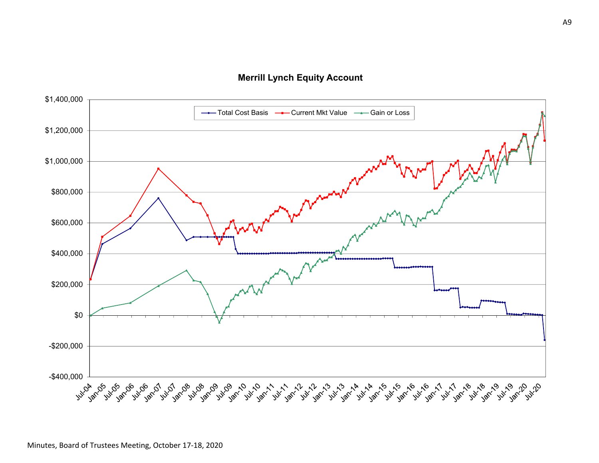**Merrill Lynch Equity Account**

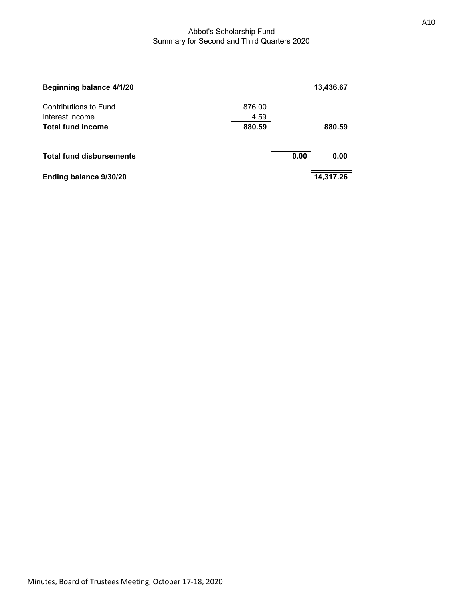## Abbot's Scholarship Fund Summary for Second and Third Quarters 2020

| Beginning balance 4/1/20        |        |      | 13,436.67 |
|---------------------------------|--------|------|-----------|
| Contributions to Fund           | 876.00 |      |           |
| Interest income                 | 4.59   |      |           |
| <b>Total fund income</b>        | 880.59 |      | 880.59    |
| <b>Total fund disbursements</b> |        | 0.00 | 0.00      |
| Ending balance 9/30/20          |        |      | 14,317.26 |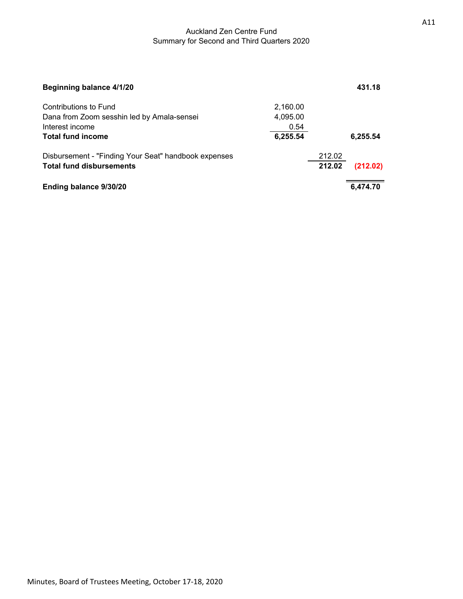### Auckland Zen Centre Fund Summary for Second and Third Quarters 2020

| Beginning balance 4/1/20                             |          |        | 431.18   |
|------------------------------------------------------|----------|--------|----------|
| Contributions to Fund                                | 2,160.00 |        |          |
| Dana from Zoom sesshin led by Amala-sensei           | 4,095.00 |        |          |
| Interest income                                      | 0.54     |        |          |
| <b>Total fund income</b>                             | 6,255.54 |        | 6,255.54 |
| Disbursement - "Finding Your Seat" handbook expenses |          | 212.02 |          |
| <b>Total fund disbursements</b>                      |          | 212.02 | (212.02) |
| Ending balance 9/30/20                               |          |        | 6,474.70 |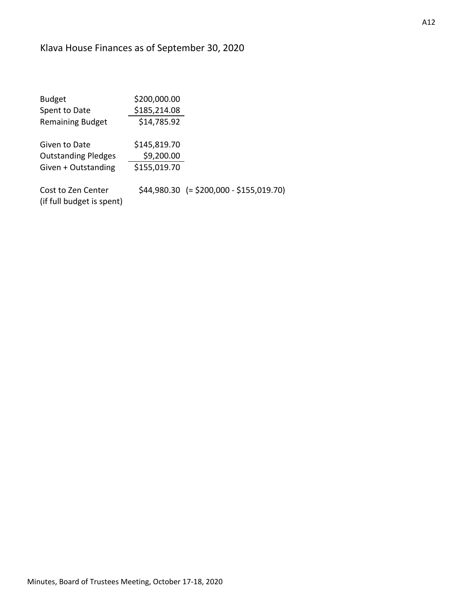# Klava House Finances as of September 30, 2020

| <b>Budget</b>                                   | \$200,000.00 |                                           |
|-------------------------------------------------|--------------|-------------------------------------------|
| Spent to Date                                   | \$185,214.08 |                                           |
| <b>Remaining Budget</b>                         | \$14,785.92  |                                           |
| Given to Date                                   | \$145,819.70 |                                           |
| <b>Outstanding Pledges</b>                      | \$9,200.00   |                                           |
| Given + Outstanding                             | \$155,019.70 |                                           |
| Cost to Zen Center<br>(if full budget is spent) |              | $$44,980.30$ (= \$200,000 - \$155,019.70) |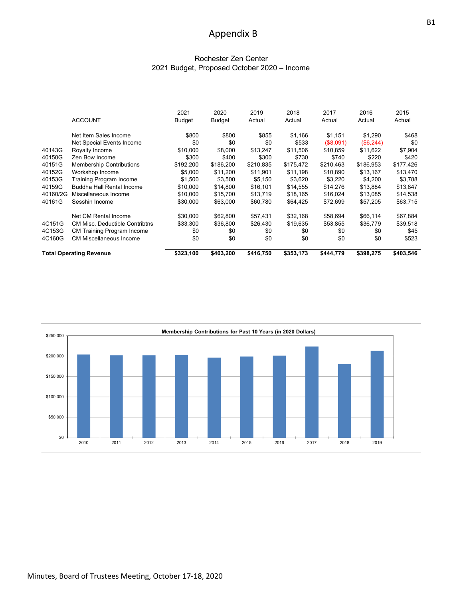# Appendix B

#### Rochester Zen Center 2021 Budget, Proposed October 2020 – Income

|          |                                       | 2021      | 2020          | 2019      | 2018      | 2017      | 2016      | 2015      |
|----------|---------------------------------------|-----------|---------------|-----------|-----------|-----------|-----------|-----------|
|          | <b>ACCOUNT</b>                        | Budget    | <b>Budget</b> | Actual    | Actual    | Actual    | Actual    | Actual    |
|          | Net Item Sales Income                 | \$800     | \$800         | \$855     | \$1,166   | \$1,151   | \$1,290   | \$468     |
|          | Net Special Events Income             | \$0       | \$0           | \$0       | \$533     | (\$8,091) | (\$6,244) | \$0       |
| 40143G   | Royalty Income                        | \$10.000  | \$8,000       | \$13,247  | \$11,506  | \$10.859  | \$11,622  | \$7,904   |
| 40150G   | Zen Bow Income                        | \$300     | \$400         | \$300     | \$730     | \$740     | \$220     | \$420     |
| 40151G   | <b>Membership Contributions</b>       | \$192,200 | \$186,200     | \$210,835 | \$175,472 | \$210,463 | \$186,953 | \$177,426 |
| 40152G   | Workshop Income                       | \$5,000   | \$11,200      | \$11,901  | \$11,198  | \$10,890  | \$13,167  | \$13,470  |
| 40153G   | Training Program Income               | \$1,500   | \$3,500       | \$5,150   | \$3,620   | \$3,220   | \$4,200   | \$3,788   |
| 40159G   | <b>Buddha Hall Rental Income</b>      | \$10,000  | \$14,800      | \$16,101  | \$14,555  | \$14,276  | \$13,884  | \$13,847  |
| 40160/2G | Miscellaneous Income                  | \$10,000  | \$15,700      | \$13,719  | \$18,165  | \$16,024  | \$13,085  | \$14,538  |
| 40161G   | Sesshin Income                        | \$30,000  | \$63,000      | \$60,780  | \$64,425  | \$72,699  | \$57,205  | \$63,715  |
|          | Net CM Rental Income                  | \$30,000  | \$62,800      | \$57,431  | \$32,168  | \$58,694  | \$66,114  | \$67,884  |
| 4C151G   | <b>CM Misc. Deductible Contribtns</b> | \$33,300  | \$36,800      | \$26,430  | \$19,635  | \$53,855  | \$36,779  | \$39,518  |
| 4C153G   | <b>CM Training Program Income</b>     | \$0       | \$0           | \$0       | \$0       | \$0       | \$0       | \$45      |
| 4C160G   | <b>CM Miscellaneous Income</b>        | \$0       | \$0           | \$0       | \$0       | \$0       | \$0       | \$523     |
|          | <b>Total Operating Revenue</b>        | \$323,100 | \$403,200     | \$416,750 | \$353,173 | \$444,779 | \$398,275 | \$403,546 |

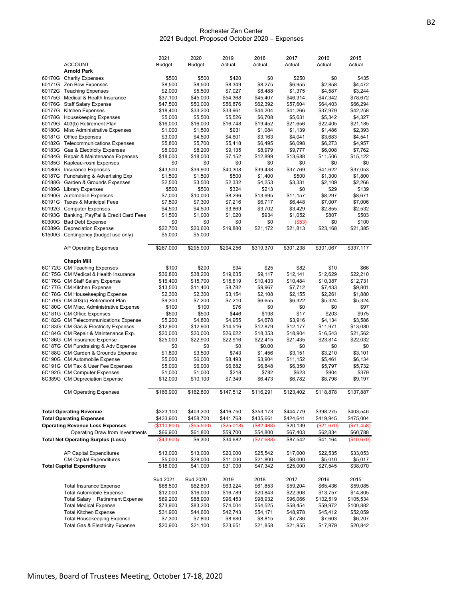#### Rochester Zen Center 2021 Budget, Proposed October 2020 – Expenses

|        |                                           | 2021            | 2020            | 2019       | 2018       | 2017      | 2016       | 2015       |
|--------|-------------------------------------------|-----------------|-----------------|------------|------------|-----------|------------|------------|
|        | <b>ACCOUNT</b>                            | <b>Budget</b>   | <b>Budget</b>   | Actual     | Actual     | Actual    | Actual     | Actual     |
|        | <b>Arnold Park</b>                        |                 |                 |            |            |           |            |            |
|        | 60170G Charity Expenses                   | \$500           | \$500           | \$420      | \$0        | \$250     | \$0        | \$435      |
|        | 60171G Zen Bow Expenses                   | \$8,500         | \$8,500         | \$8,349    | \$8,275    | \$6,955   | \$2,858    | \$4,472    |
| 60172G | <b>Teaching Expenses</b>                  | \$2,000         | \$5,500         | \$7,027    | \$8,488    | \$1,375   | \$4,587    | \$3,244    |
|        |                                           |                 |                 | \$54,368   |            |           |            |            |
|        | 60175G Medical & Health Insurance         | \$37,100        | \$45,000        |            | \$45,407   | \$46,314  | \$47,342   | \$78,672   |
|        | 60176G Staff Salary Expense               | \$47,500        | \$50,000        | \$56,876   | \$62,392   | \$57,604  | \$64,403   | \$66,294   |
|        | 60177G Kitchen Expenses                   | \$18,400        | \$33,200        | \$33,961   | \$44,204   | \$41,266  | \$37,979   | \$42,258   |
|        | 60178G Housekeeping Expenses              | \$5,000         | \$5,500         | \$5,526    | \$6,708    | \$5,631   | \$5,342    | \$4,327    |
|        | 60179G 403(b) Retirement Plan             | \$16,000        | \$16,000        | \$16,748   | \$19,452   | \$21,656  | \$22,405   | \$21,185   |
|        | 60180G Misc Administrative Expenses       | \$1,000         | \$1,500         | \$931      | \$1,084    | \$1,139   | \$1,486    | \$2,393    |
| 60181G | Office Expenses                           | \$3,000         | \$4,500         | \$4,601    | \$3,163    | \$4,041   | \$3,683    | \$4,541    |
|        | 60182G Telecommunications Expenses        | \$5,800         | \$5,700         | \$5,418    | \$6,495    | \$6,098   | \$6,273    | \$4,957    |
|        | 60183G Gas & Electricity Expenses         | \$8,000         | \$8,200         | \$9,135    | \$8,979    | \$9,777   | \$6,008    | \$7,762    |
|        | 60184G Repair & Maintenance Expenses      | \$18,000        | \$18,000        | \$7,152    | \$12,899   | \$13,688  | \$11,506   | \$15,122   |
|        | 60185G Kapleau-roshi Expenses             | \$0             | \$0             | \$0        | \$0        | \$0       | \$0        | \$0        |
|        | 60186G Insurance Expenses                 | \$43,500        | \$39,900        | \$40,308   | \$39,438   | \$37,769  | \$41,622   | \$37,053   |
|        | 60187G Fundraising & Advertising Exp      | \$1,500         | \$1,500         | \$500      | \$1,400    | \$500     | \$1,300    | \$1,800    |
|        |                                           |                 |                 |            |            |           |            |            |
|        | 60188G Garden & Grounds Expenses          | \$2,500         | \$3,500         | \$2,332    | \$4,253    | \$3,331   | \$2,109    | \$2,266    |
|        | 60189G Library Expenses                   | \$500           | \$500           | \$324      | \$213      | \$0       | \$29       | \$139      |
|        | 60190G Automobile Expenses                | \$7,000         | \$10,000        | \$8,296    | \$13,995   | \$11,157  | \$8,297    | \$8,671    |
|        | 60191G Taxes & Municipal Fees             | \$7,500         | \$7,300         | \$7,216    | \$6,717    | \$6,448   | \$7,007    | \$7,006    |
|        | 60192G Computer Expenses                  | \$4,500         | \$4,500         | \$3,869    | \$3,702    | \$3,429   | \$2,855    | \$2,532    |
|        | 60193G Banking, PayPal & Credit Card Fees | \$1,500         | \$1,000         | \$1,020    | \$934      | \$1,052   | \$807      | \$503      |
|        | 60300G Bad Debt Expense                   | \$0             | \$0             | \$0        | \$0        | (\$53)    | \$0        | \$100      |
|        | 60389G Depreciation Expense               | \$22,700        | \$20,600        | \$19,880   | \$21,172   | \$21,813  | \$23,168   | \$21,385   |
|        | 61500G Contingency (budget use only)      | \$5,000         | \$5,000         |            |            |           |            |            |
|        |                                           |                 |                 |            |            |           |            |            |
|        | AP Operating Expenses                     | \$267,000       | \$295,900       | \$294,256  | \$319,370  | \$301,238 | \$301,067  | \$337,117  |
|        |                                           |                 |                 |            |            |           |            |            |
|        |                                           |                 |                 |            |            |           |            |            |
|        | <b>Chapin Mill</b>                        |                 |                 |            |            |           |            |            |
|        | 6C172G CM Teaching Expenses               | \$100           | \$200           | \$94       | \$25       | \$82      | \$10       | \$66       |
|        | 6C175G CM Medical & Health Insurance      | \$36,800        | \$38,200        | \$19,635   | \$9,117    | \$12,141  | \$12,629   | \$22,210   |
|        | 6C176G CM Staff Salary Expense            | \$16,400        | \$15,700        | \$15,619   | \$10,433   | \$10,484  | \$10,387   | \$12,731   |
|        | 6C177G CM Kitchen Expense                 | \$13,500        | \$11,400        | \$8,782    | \$9,967    | \$7,712   | \$7,433    | \$9,801    |
|        | 6C178G CM Housekeeping Expense            | \$2,300         | \$2,300         | \$3,154    | \$2,108    | \$2,155   | \$2,261    | \$1,880    |
|        | 6C179G CM 403(b) Retirement Plan          | \$9,300         | \$7,200         | \$7,210    | \$6,655    | \$6,322   | \$5,324    | \$5,324    |
|        | 6C180G CM Misc. Administrative Expense    | \$100           | \$100           | \$76       | \$0        | \$0       | \$0        | \$97       |
|        | 6C181G CM Office Expenses                 | \$500           | \$500           | \$446      | \$198      | \$17      | \$203      | \$975      |
|        | 6C182G CM Telecommunications Expense      | \$5,200         | \$4,800         | \$4,955    | \$4,678    | \$3,916   | \$4,134    | \$3,586    |
|        | 6C183G CM Gas & Electricity Expenses      | \$12,900        | \$12,900        | \$14,516   | \$12,879   | \$12,177  | \$11,971   | \$13,080   |
|        |                                           |                 |                 |            |            |           |            |            |
|        | 6C184G CM Repair & Maintenance Exp.       | \$20,000        | \$20,000        | \$26,622   | \$18,353   | \$18,904  | \$16,543   | \$21,562   |
|        | 6C186G CM Insurance Expense               | \$25,000        | \$22,900        | \$22,916   | \$22,415   | \$21,435  | \$23,814   | \$22,032   |
|        | 6C187G CM Fundraising & Adv Expense       | \$0             | \$0             | \$0        | \$0.00     | \$0       | \$0        | \$0        |
|        | 6C188G CM Garden & Grounds Expense        | \$1,800         | \$3,500         | \$743      | \$1,456    | \$3,151   | \$3,210    | \$3,101    |
|        | 6C190G CM Automobile Expense              | \$5,000         | \$6,000         | \$8,493    | \$3,904    | \$11,152  | \$5,461    | \$6,134    |
|        | 6C191G CM Tax & User Fee Expenses         | \$5,000         | \$6,000         | \$6,682    | \$6,848    | \$6,350   | \$5,797    | \$5,732    |
|        | 6C192G CM Computer Expenses               | \$1,000         | \$1,000         | \$218      | \$782      | \$623     | \$904      | \$379      |
|        | 6C389G CM Depreciation Expense            | \$12,000        | \$10,100        | \$7,349    | \$6,473    | \$6,782   | \$8,798    | \$9,197    |
|        |                                           |                 |                 |            |            |           |            |            |
|        | <b>CM Operating Expenses</b>              | \$166,900       | \$162,800       | \$147,512  | \$116,291  | \$123,402 | \$118,878  | \$137,887  |
|        |                                           |                 |                 |            |            |           |            |            |
|        |                                           |                 |                 |            |            |           |            |            |
|        | <b>Total Operating Revenue</b>            | \$323,100       | \$403,200       | \$416,750  | \$353,173  | \$444,779 | \$398,275  | \$403,546  |
|        |                                           |                 |                 |            |            |           |            |            |
|        | <b>Total Operating Expenses</b>           | \$433,900       | \$458,700       | \$441,768  | \$435,661  | \$424,641 | \$419,945  | \$475,004  |
|        | <b>Operating Revenue Less Expenses</b>    | (\$110,800)     | (\$55,500)      | (\$25,018) | (\$82,488) | \$20,139  | (\$21,670) | (\$71,458) |
|        | Operating Draw from Investments           | \$66,900        | \$61,800        | \$59,700   | \$54,800   | \$67,403  | \$62,834   | \$60,788   |
|        | <b>Total Net Operating Surplus (Loss)</b> | (\$43,900)      | \$6,300         | \$34,682   | (\$27,688) | \$87,542  | \$41,164   | (\$10,670) |
|        |                                           |                 |                 |            |            |           |            |            |
|        | AP Capital Expenditures                   | \$13,000        | \$13,000        | \$20,000   | \$25,542   | \$17,000  | \$22,535   | \$33,053   |
|        | <b>CM Capital Expenditures</b>            | \$5,000         | \$28,000        | \$11,000   | \$21,800   | \$8,000   | \$5,010    | \$5,017    |
|        | <b>Total Capital Expenditures</b>         | \$18,000        | \$41,000        | \$31,000   | \$47,342   | \$25,000  | \$27,545   | \$38,070   |
|        |                                           |                 |                 |            |            |           |            |            |
|        |                                           |                 |                 |            |            |           |            |            |
|        |                                           | <b>Bud 2021</b> | <b>Bud 2020</b> | 2019       | 2018       | 2017      | 2016       | 2015       |
|        | <b>Total Insurance Expense</b>            | \$68.500        | \$62,800        | \$63,224   | \$61.853   | \$59.204  | \$65.436   | \$59,085   |
|        | <b>Total Automobile Expense</b>           | \$12,000        | \$16,000        | \$16,789   | \$20,843   | \$22,308  | \$13,757   | \$14,805   |
|        | Total Salary + Retirement Expense         | \$89,200        | \$88,900        | \$96,453   | \$98,932   | \$96,066  | \$102,519  | \$105,534  |
|        | <b>Total Medical Expense</b>              | \$73,900        | \$83,200        | \$74,004   | \$54,525   | \$58,454  | \$59,972   | \$100,882  |
|        | <b>Total Kitchen Expense</b>              | \$31,900        | \$44,600        | \$42,743   | \$54,171   | \$48,978  | \$45,412   | \$52,059   |
|        | <b>Total Housekeeping Expense</b>         | \$7,300         | \$7,800         | \$8,680    | \$8,815    | \$7,786   | \$7,603    | \$6,207    |
|        | Total Gas & Electricity Expense           | \$20,900        | \$21,100        | \$23,651   | \$21,858   | \$21,955  | \$17,979   | \$20,842   |
|        |                                           |                 |                 |            |            |           |            |            |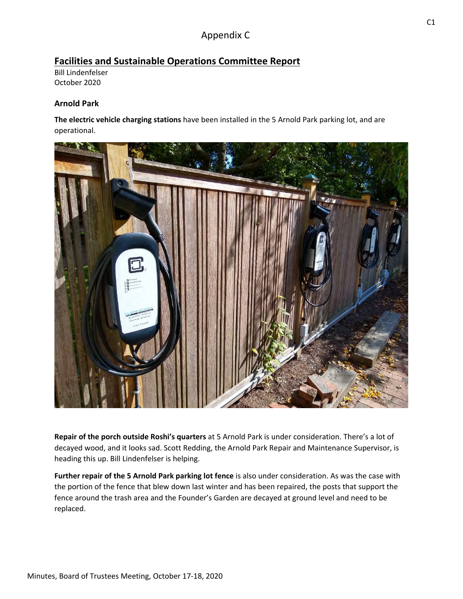# Appendix C

# **Facilities and Sustainable Operations Committee Report**

Bill Lindenfelser October 2020

# **Arnold Park**

**The electric vehicle charging stations** have been installed in the 5 Arnold Park parking lot, and are operational.



**Repair of the porch outside Roshi's quarters** at 5 Arnold Park is under consideration. There's a lot of decayed wood, and it looks sad. Scott Redding, the Arnold Park Repair and Maintenance Supervisor, is heading this up. Bill Lindenfelser is helping.

**Further repair of the 5 Arnold Park parking lot fence** is also under consideration. As was the case with the portion of the fence that blew down last winter and has been repaired, the posts that support the fence around the trash area and the Founder's Garden are decayed at ground level and need to be replaced.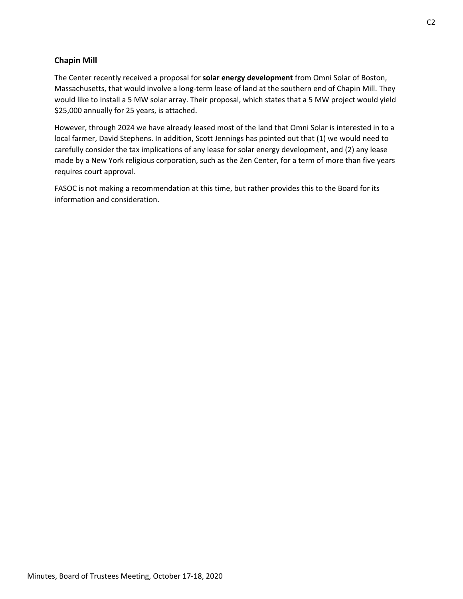# **Chapin Mill**

The Center recently received a proposal for **solar energy development** from Omni Solar of Boston, Massachusetts, that would involve a long‐term lease of land at the southern end of Chapin Mill. They would like to install a 5 MW solar array. Their proposal, which states that a 5 MW project would yield \$25,000 annually for 25 years, is attached.

However, through 2024 we have already leased most of the land that Omni Solar is interested in to a local farmer, David Stephens. In addition, Scott Jennings has pointed out that (1) we would need to carefully consider the tax implications of any lease for solar energy development, and (2) any lease made by a New York religious corporation, such as the Zen Center, for a term of more than five years requires court approval.

FASOC is not making a recommendation at this time, but rather provides this to the Board for its information and consideration.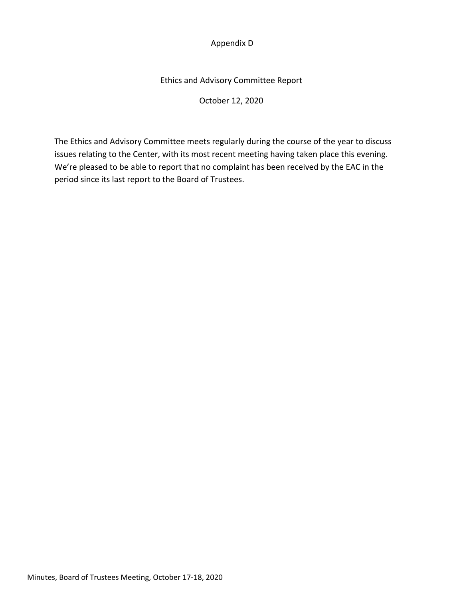# Appendix D

# Ethics and Advisory Committee Report

October 12, 2020

The Ethics and Advisory Committee meets regularly during the course of the year to discuss issues relating to the Center, with its most recent meeting having taken place this evening. We're pleased to be able to report that no complaint has been received by the EAC in the period since its last report to the Board of Trustees.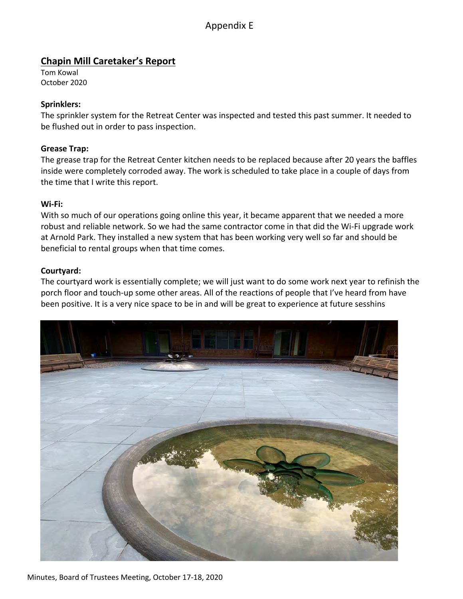# Appendix E

# **Chapin Mill Caretaker's Report**

Tom Kowal October 2020

# **Sprinklers:**

The sprinkler system for the Retreat Center was inspected and tested this past summer. It needed to be flushed out in order to pass inspection.

# **Grease Trap:**

The grease trap for the Retreat Center kitchen needs to be replaced because after 20 years the baffles inside were completely corroded away. The work is scheduled to take place in a couple of days from the time that I write this report.

# **Wi‐Fi:**

With so much of our operations going online this year, it became apparent that we needed a more robust and reliable network. So we had the same contractor come in that did the Wi‐Fi upgrade work at Arnold Park. They installed a new system that has been working very well so far and should be beneficial to rental groups when that time comes.

# **Courtyard:**

The courtyard work is essentially complete; we will just want to do some work next year to refinish the porch floor and touch‐up some other areas. All of the reactions of people that I've heard from have been positive. It is a very nice space to be in and will be great to experience at future sesshins

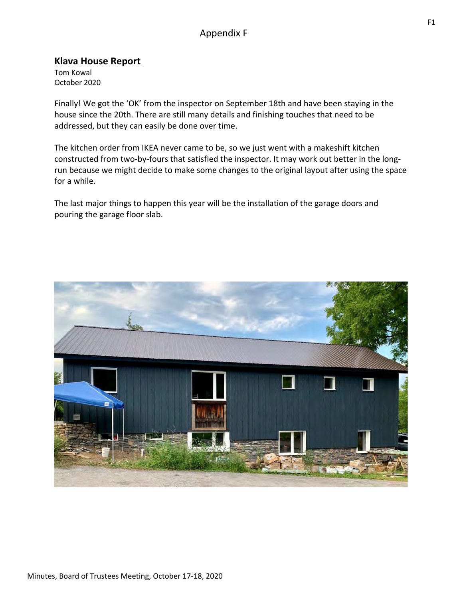# Appendix F

# **Klava House Report**

Tom Kowal October 2020

Finally! We got the 'OK' from the inspector on September 18th and have been staying in the house since the 20th. There are still many details and finishing touches that need to be addressed, but they can easily be done over time.

The kitchen order from IKEA never came to be, so we just went with a makeshift kitchen constructed from two-by-fours that satisfied the inspector. It may work out better in the longrun because we might decide to make some changes to the original layout after using the space for a while.

The last major things to happen this year will be the installation of the garage doors and pouring the garage floor slab.

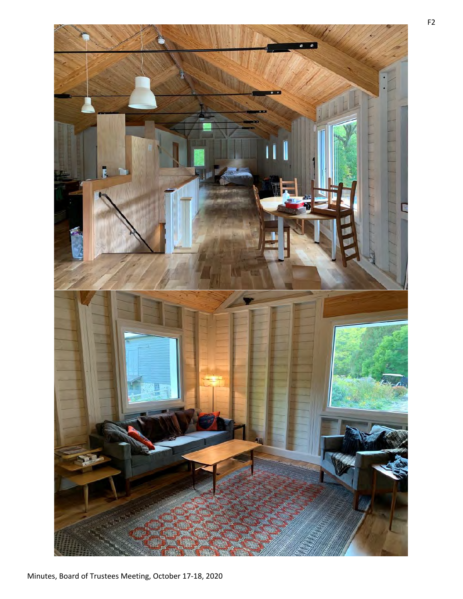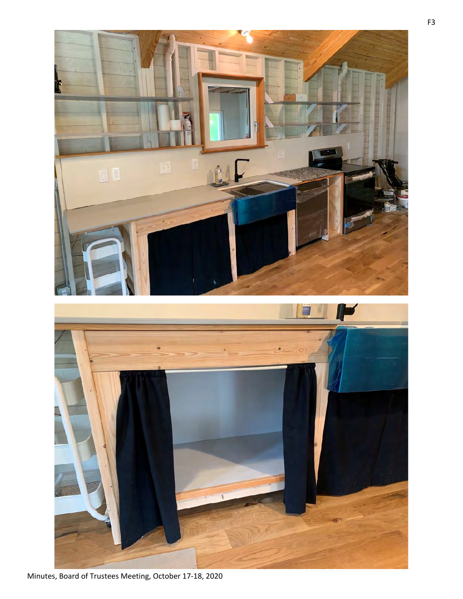

Minutes, Board of Trustees Meeting, October 17-18, 2020